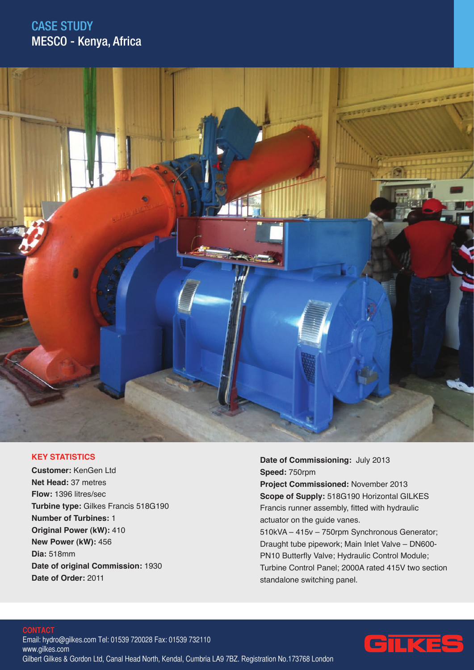## CASE STUDY MESCO - Kenya, Africa



### **KEY STATISTICS**

**Customer:** KenGen Ltd **Net Head:** 37 metres **Flow:** 1396 litres/sec **Turbine type:** Gilkes Francis 518G190 **Number of Turbines:** 1 **Original Power (kW):** 410 **New Power (kW):** 456 **Dia:** 518mm **Date of original Commission:** 1930 **Date of Order:** 2011

**Date of Commissioning:** July 2013 **Speed:** 750rpm **Project Commissioned:** November 2013 **Scope of Supply:** 518G190 Horizontal GILKES Francis runner assembly, fitted with hydraulic actuator on the guide vanes. 510kVA – 415v – 750rpm Synchronous Generator; Draught tube pipework; Main Inlet Valve – DN600- PN10 Butterfly Valve; Hydraulic Control Module; Turbine Control Panel; 2000A rated 415V two section standalone switching panel.

# Ξ

#### **CONTACT** Email: hydro@gilkes.com Tel: 01539 720028 Fax: 01539 732110 www.gilkes.com Gilbert Gilkes & Gordon Ltd, Canal Head North, Kendal, Cumbria LA9 7BZ. Registration No.173768 London